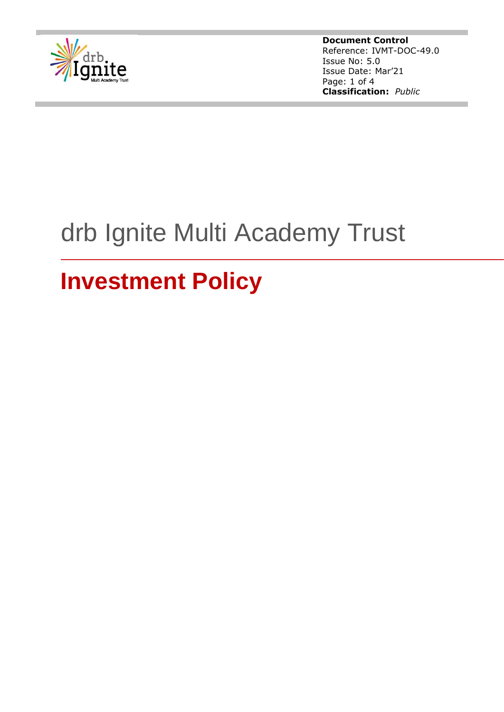

**Document Control** Reference: IVMT-DOC-49.0 Issue No: 5.0 Issue Date: Mar'21 Page: 1 of 4 **Classification:** *Public*

# drb Ignite Multi Academy Trust

# **Investment Policy**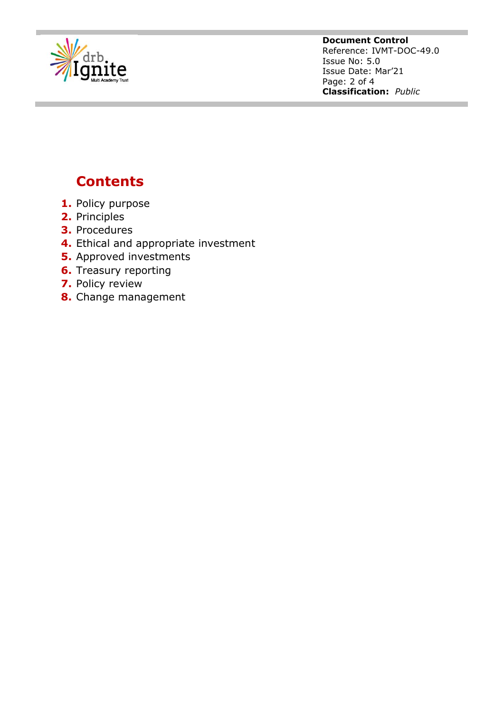

**Document Control** Reference: IVMT-DOC-49.0 Issue No: 5.0 Issue Date: Mar'21 Page: 2 of 4 **Classification:** *Public*

# **Contents**

- **1.** Policy purpose
- **2.** Principles
- **3.** Procedures
- **4.** Ethical and appropriate investment
- **5.** Approved investments
- **6.** Treasury reporting
- **7.** Policy review
- **8.** Change management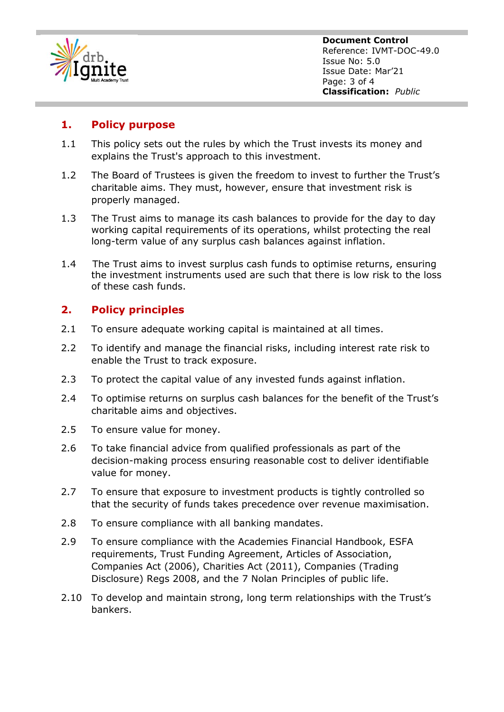

**Document Control** Reference: IVMT-DOC-49.0 Issue No: 5.0 Issue Date: Mar'21 Page: 3 of 4 **Classification:** *Public*

### **1. Policy purpose**

- 1.1 This policy sets out the rules by which the Trust invests its money and explains the Trust's approach to this investment.
- 1.2 The Board of Trustees is given the freedom to invest to further the Trust's charitable aims. They must, however, ensure that investment risk is properly managed.
- 1.3 The Trust aims to manage its cash balances to provide for the day to day working capital requirements of its operations, whilst protecting the real long-term value of any surplus cash balances against inflation.
- 1.4 The Trust aims to invest surplus cash funds to optimise returns, ensuring the investment instruments used are such that there is low risk to the loss of these cash funds.

## **2. Policy principles**

- 2.1 To ensure adequate working capital is maintained at all times.
- 2.2 To identify and manage the financial risks, including interest rate risk to enable the Trust to track exposure.
- 2.3 To protect the capital value of any invested funds against inflation.
- 2.4 To optimise returns on surplus cash balances for the benefit of the Trust's charitable aims and objectives.
- 2.5 To ensure value for money.
- 2.6 To take financial advice from qualified professionals as part of the decision-making process ensuring reasonable cost to deliver identifiable value for money.
- 2.7 To ensure that exposure to investment products is tightly controlled so that the security of funds takes precedence over revenue maximisation.
- 2.8 To ensure compliance with all banking mandates.
- 2.9 To ensure compliance with the Academies Financial Handbook, ESFA requirements, Trust Funding Agreement, Articles of Association, Companies Act (2006), Charities Act (2011), Companies (Trading Disclosure) Regs 2008, and the 7 Nolan Principles of public life.
- 2.10 To develop and maintain strong, long term relationships with the Trust's bankers.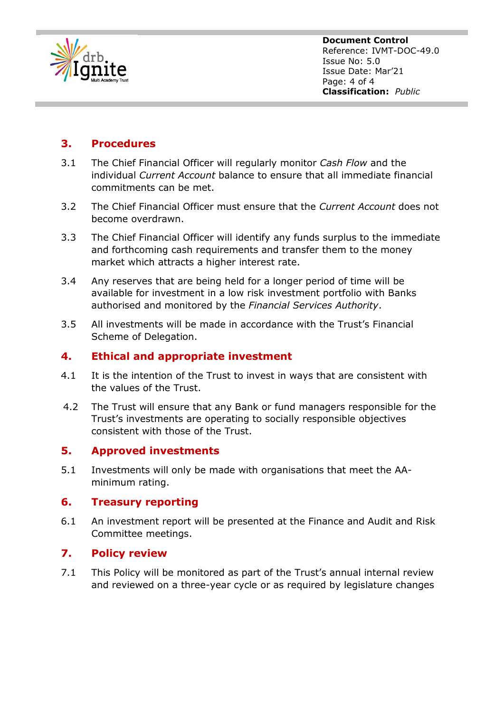

**Document Control** Reference: IVMT-DOC-49.0 Issue No: 5.0 Issue Date: Mar'21 Page: 4 of 4 **Classification:** *Public*

### **3. Procedures**

- 3.1 The Chief Financial Officer will regularly monitor *Cash Flow* and the individual *Current Account* balance to ensure that all immediate financial commitments can be met.
- 3.2 The Chief Financial Officer must ensure that the *Current Account* does not become overdrawn.
- 3.3 The Chief Financial Officer will identify any funds surplus to the immediate and forthcoming cash requirements and transfer them to the money market which attracts a higher interest rate.
- 3.4 Any reserves that are being held for a longer period of time will be available for investment in a low risk investment portfolio with Banks authorised and monitored by the *Financial Services Authority*.
- 3.5 All investments will be made in accordance with the Trust's Financial Scheme of Delegation.

#### **4. Ethical and appropriate investment**

- 4.1 It is the intention of the Trust to invest in ways that are consistent with the values of the Trust.
- 4.2 The Trust will ensure that any Bank or fund managers responsible for the Trust's investments are operating to socially responsible objectives consistent with those of the Trust.

#### **5. Approved investments**

5.1 Investments will only be made with organisations that meet the AAminimum rating.

#### **6. Treasury reporting**

6.1 An investment report will be presented at the Finance and Audit and Risk Committee meetings.

#### **7. Policy review**

7.1 This Policy will be monitored as part of the Trust's annual internal review and reviewed on a three-year cycle or as required by legislature changes